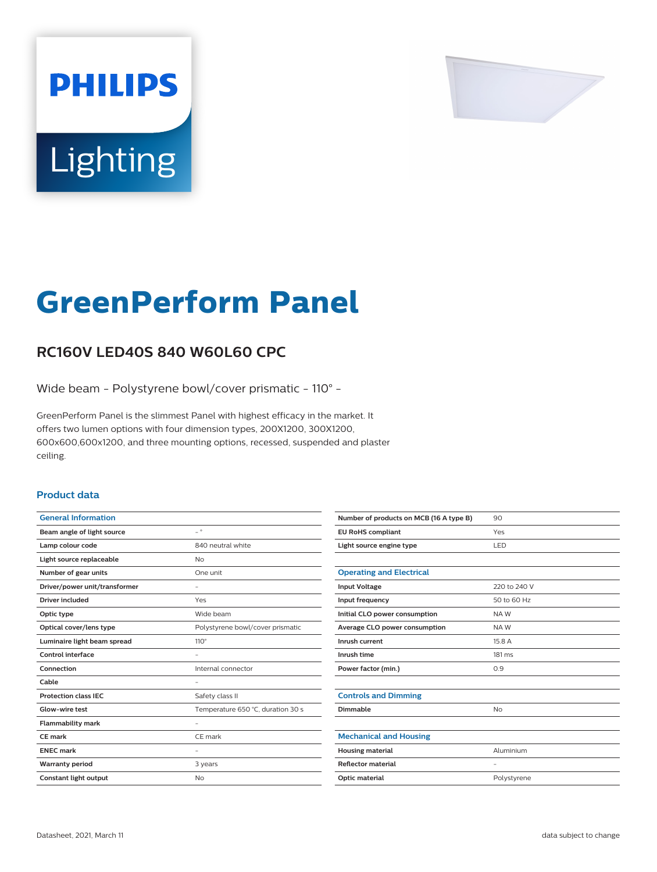

# Lighting

**PHILIPS** 

# **GreenPerform Panel**

## **RC160V LED40S 840 W60L60 CPC**

Wide beam - Polystyrene bowl/cover prismatic - 110° -

GreenPerform Panel is the slimmest Panel with highest efficacy in the market. It offers two lumen options with four dimension types, 200X1200, 300X1200, 600x600,600x1200, and three mounting options, recessed, suspended and plaster ceiling.

#### **Product data**

| <b>General Information</b>    |                                   |
|-------------------------------|-----------------------------------|
| Beam angle of light source    | $\overline{\phantom{0}}$          |
| Lamp colour code              | 840 neutral white                 |
| Light source replaceable      | No                                |
| Number of gear units          | One unit                          |
| Driver/power unit/transformer |                                   |
| Driver included               | Yes                               |
| Optic type                    | Wide beam                         |
| Optical cover/lens type       | Polystyrene bowl/cover prismatic  |
| Luminaire light beam spread   | $110^\circ$                       |
| Control interface             |                                   |
| Connection                    | Internal connector                |
| Cable                         |                                   |
| <b>Protection class IEC</b>   | Safety class II                   |
| Glow-wire test                | Temperature 650 °C, duration 30 s |
| <b>Flammability mark</b>      |                                   |
| <b>CE</b> mark                | CE mark                           |
| <b>ENEC mark</b>              |                                   |
| <b>Warranty period</b>        | 3 years                           |
| Constant light output         | No                                |
|                               |                                   |

| Number of products on MCB (16 A type B) | 90                       |
|-----------------------------------------|--------------------------|
| <b>EU RoHS compliant</b>                | Yes                      |
| Light source engine type                | LED                      |
|                                         |                          |
| <b>Operating and Electrical</b>         |                          |
| <b>Input Voltage</b>                    | 220 to 240 V             |
| Input frequency                         | 50 to 60 Hz              |
| Initial CLO power consumption           | NAW                      |
| Average CLO power consumption           | NAW                      |
| Inrush current                          | 15.8 A                   |
| Inrush time                             | $181 \text{ ms}$         |
| Power factor (min.)                     | 0.9                      |
|                                         |                          |
| <b>Controls and Dimming</b>             |                          |
| Dimmable                                | <b>No</b>                |
|                                         |                          |
| <b>Mechanical and Housing</b>           |                          |
| <b>Housing material</b>                 | Aluminium                |
| <b>Reflector material</b>               | $\overline{\phantom{a}}$ |
| Optic material                          | Polystyrene              |
|                                         |                          |